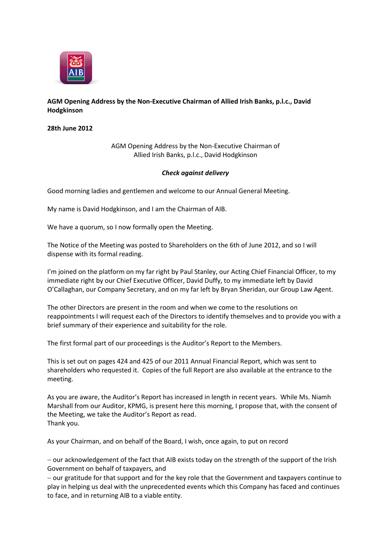

## **AGM Opening Address by the Non-Executive Chairman of Allied Irish Banks, p.l.c., David Hodgkinson**

**28th June 2012**

AGM Opening Address by the Non-Executive Chairman of Allied Irish Banks, p.l.c., David Hodgkinson

## *Check against delivery*

Good morning ladies and gentlemen and welcome to our Annual General Meeting.

My name is David Hodgkinson, and I am the Chairman of AIB.

We have a quorum, so I now formally open the Meeting.

The Notice of the Meeting was posted to Shareholders on the 6th of June 2012, and so I will dispense with its formal reading.

I'm joined on the platform on my far right by Paul Stanley, our Acting Chief Financial Officer, to my immediate right by our Chief Executive Officer, David Duffy, to my immediate left by David O'Callaghan, our Company Secretary, and on my far left by Bryan Sheridan, our Group Law Agent.

The other Directors are present in the room and when we come to the resolutions on reappointments I will request each of the Directors to identify themselves and to provide you with a brief summary of their experience and suitability for the role.

The first formal part of our proceedings is the Auditor's Report to the Members.

This is set out on pages 424 and 425 of our 2011 Annual Financial Report, which was sent to shareholders who requested it. Copies of the full Report are also available at the entrance to the meeting.

As you are aware, the Auditor's Report has increased in length in recent years. While Ms. Niamh Marshall from our Auditor, KPMG, is present here this morning, I propose that, with the consent of the Meeting, we take the Auditor's Report as read. Thank you.

As your Chairman, and on behalf of the Board, I wish, once again, to put on record

- our acknowledgement of the fact that AIB exists today on the strength of the support of the Irish Government on behalf of taxpayers, and

- our gratitude for that support and for the key role that the Government and taxpayers continue to play in helping us deal with the unprecedented events which this Company has faced and continues to face, and in returning AIB to a viable entity.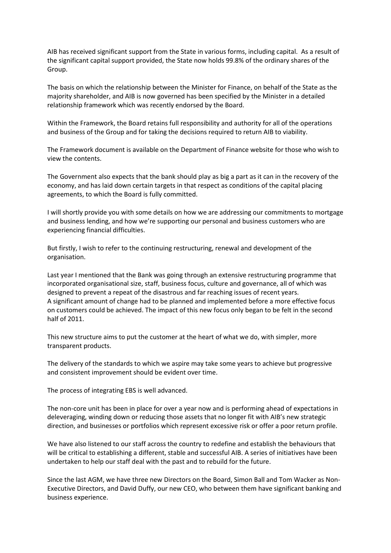AIB has received significant support from the State in various forms, including capital. As a result of the significant capital support provided, the State now holds 99.8% of the ordinary shares of the Group.

The basis on which the relationship between the Minister for Finance, on behalf of the State as the majority shareholder, and AIB is now governed has been specified by the Minister in a detailed relationship framework which was recently endorsed by the Board.

Within the Framework, the Board retains full responsibility and authority for all of the operations and business of the Group and for taking the decisions required to return AIB to viability.

The Framework document is available on the Department of Finance website for those who wish to view the contents.

The Government also expects that the bank should play as big a part as it can in the recovery of the economy, and has laid down certain targets in that respect as conditions of the capital placing agreements, to which the Board is fully committed.

I will shortly provide you with some details on how we are addressing our commitments to mortgage and business lending, and how we're supporting our personal and business customers who are experiencing financial difficulties.

But firstly, I wish to refer to the continuing restructuring, renewal and development of the organisation.

Last year I mentioned that the Bank was going through an extensive restructuring programme that incorporated organisational size, staff, business focus, culture and governance, all of which was designed to prevent a repeat of the disastrous and far reaching issues of recent years. A significant amount of change had to be planned and implemented before a more effective focus on customers could be achieved. The impact of this new focus only began to be felt in the second half of 2011.

This new structure aims to put the customer at the heart of what we do, with simpler, more transparent products.

The delivery of the standards to which we aspire may take some years to achieve but progressive and consistent improvement should be evident over time.

The process of integrating EBS is well advanced.

The non-core unit has been in place for over a year now and is performing ahead of expectations in deleveraging, winding down or reducing those assets that no longer fit with AIB's new strategic direction, and businesses or portfolios which represent excessive risk or offer a poor return profile.

We have also listened to our staff across the country to redefine and establish the behaviours that will be critical to establishing a different, stable and successful AIB. A series of initiatives have been undertaken to help our staff deal with the past and to rebuild for the future.

Since the last AGM, we have three new Directors on the Board, Simon Ball and Tom Wacker as Non-Executive Directors, and David Duffy, our new CEO, who between them have significant banking and business experience.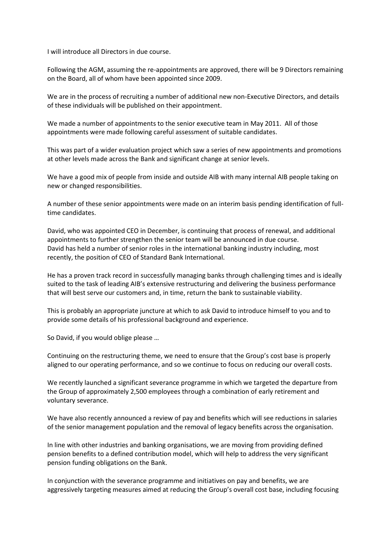I will introduce all Directors in due course.

Following the AGM, assuming the re-appointments are approved, there will be 9 Directors remaining on the Board, all of whom have been appointed since 2009.

We are in the process of recruiting a number of additional new non-Executive Directors, and details of these individuals will be published on their appointment.

We made a number of appointments to the senior executive team in May 2011. All of those appointments were made following careful assessment of suitable candidates.

This was part of a wider evaluation project which saw a series of new appointments and promotions at other levels made across the Bank and significant change at senior levels.

We have a good mix of people from inside and outside AIB with many internal AIB people taking on new or changed responsibilities.

A number of these senior appointments were made on an interim basis pending identification of fulltime candidates.

David, who was appointed CEO in December, is continuing that process of renewal, and additional appointments to further strengthen the senior team will be announced in due course. David has held a number of senior roles in the international banking industry including, most recently, the position of CEO of Standard Bank International.

He has a proven track record in successfully managing banks through challenging times and is ideally suited to the task of leading AIB's extensive restructuring and delivering the business performance that will best serve our customers and, in time, return the bank to sustainable viability.

This is probably an appropriate juncture at which to ask David to introduce himself to you and to provide some details of his professional background and experience.

So David, if you would oblige please …

Continuing on the restructuring theme, we need to ensure that the Group's cost base is properly aligned to our operating performance, and so we continue to focus on reducing our overall costs.

We recently launched a significant severance programme in which we targeted the departure from the Group of approximately 2,500 employees through a combination of early retirement and voluntary severance.

We have also recently announced a review of pay and benefits which will see reductions in salaries of the senior management population and the removal of legacy benefits across the organisation.

In line with other industries and banking organisations, we are moving from providing defined pension benefits to a defined contribution model, which will help to address the very significant pension funding obligations on the Bank.

In conjunction with the severance programme and initiatives on pay and benefits, we are aggressively targeting measures aimed at reducing the Group's overall cost base, including focusing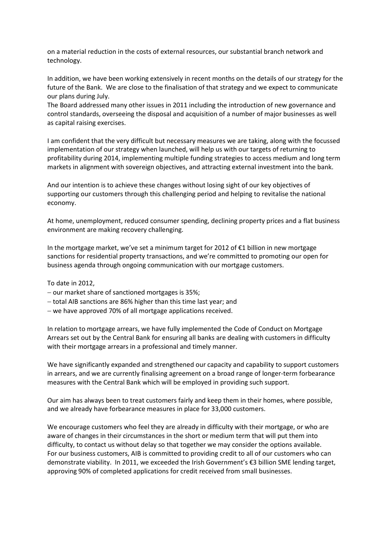on a material reduction in the costs of external resources, our substantial branch network and technology.

In addition, we have been working extensively in recent months on the details of our strategy for the future of the Bank. We are close to the finalisation of that strategy and we expect to communicate our plans during July.

The Board addressed many other issues in 2011 including the introduction of new governance and control standards, overseeing the disposal and acquisition of a number of major businesses as well as capital raising exercises.

I am confident that the very difficult but necessary measures we are taking, along with the focussed implementation of our strategy when launched, will help us with our targets of returning to profitability during 2014, implementing multiple funding strategies to access medium and long term markets in alignment with sovereign objectives, and attracting external investment into the bank.

And our intention is to achieve these changes without losing sight of our key objectives of supporting our customers through this challenging period and helping to revitalise the national economy.

At home, unemployment, reduced consumer spending, declining property prices and a flat business environment are making recovery challenging.

In the mortgage market, we've set a minimum target for 2012 of €1 billion in new mortgage sanctions for residential property transactions, and we're committed to promoting our open for business agenda through ongoing communication with our mortgage customers.

To date in 2012,

- $-$  our market share of sanctioned mortgages is 35%;
- $-$  total AIB sanctions are 86% higher than this time last year; and
- we have approved 70% of all mortgage applications received.

In relation to mortgage arrears, we have fully implemented the Code of Conduct on Mortgage Arrears set out by the Central Bank for ensuring all banks are dealing with customers in difficulty with their mortgage arrears in a professional and timely manner.

We have significantly expanded and strengthened our capacity and capability to support customers in arrears, and we are currently finalising agreement on a broad range of longer-term forbearance measures with the Central Bank which will be employed in providing such support.

Our aim has always been to treat customers fairly and keep them in their homes, where possible, and we already have forbearance measures in place for 33,000 customers.

We encourage customers who feel they are already in difficulty with their mortgage, or who are aware of changes in their circumstances in the short or medium term that will put them into difficulty, to contact us without delay so that together we may consider the options available. For our business customers, AIB is committed to providing credit to all of our customers who can demonstrate viability. In 2011, we exceeded the Irish Government's €3 billion SME lending target, approving 90% of completed applications for credit received from small businesses.